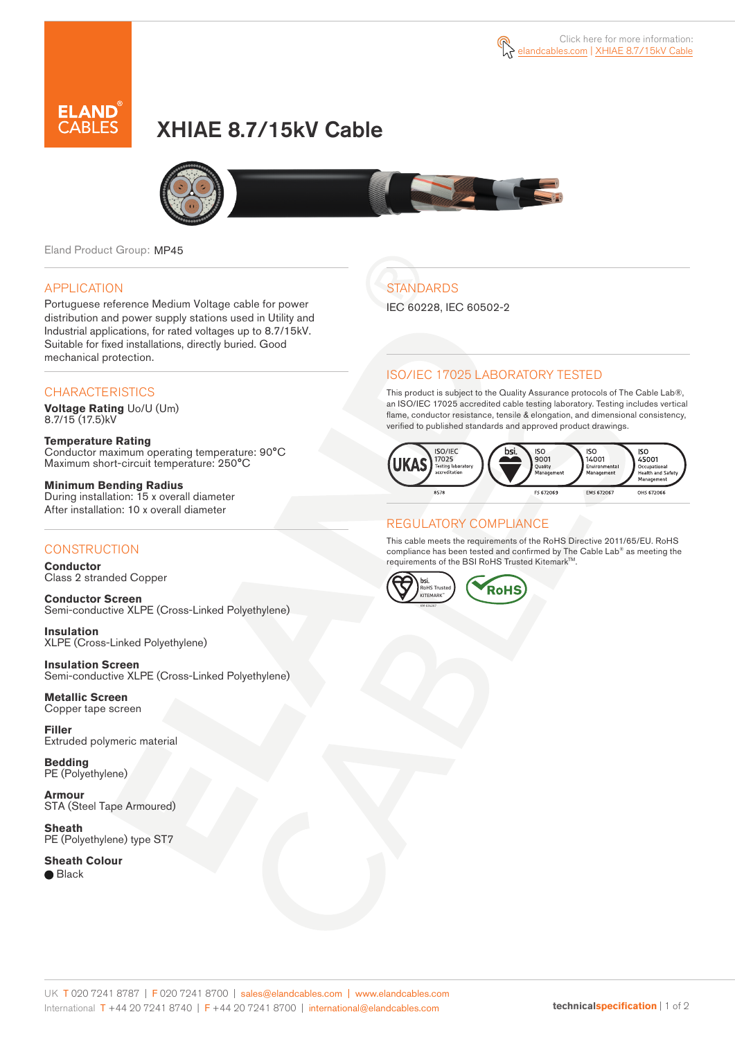



# XHIAE 8.7/15kV Cable



Eland Product Group: MP45

#### APPLICATION

Portuguese reference Medium Voltage cable for power distribution and power supply stations used in Utility and Industrial applications, for rated voltages up to 8.7/15kV. Suitable for fixed installations, directly buried. Good mechanical protection.

#### **CHARACTERISTICS**

**Voltage Rating** Uo/U (Um) 8.7/15 (17.5)kV

**Temperature Rating** Conductor maximum operating temperature: 90°C Maximum short-circuit temperature: 250°C

**Minimum Bending Radius** During installation: 15 x overall diameter After installation: 10 x overall diameter

### **CONSTRUCTION**

**Conductor**  Class 2 stranded Copper

**Conductor Screen** Semi-conductive XLPE (Cross-Linked Polyethylene)

**Insulation** XLPE (Cross-Linked Polyethylene)

**Insulation Screen** Semi-conductive XLPE (Cross-Linked Polyethylene)

**Metallic Screen**  Copper tape screen

**Filler** Extruded polymeric material

**Bedding** PE (Polyethylene)

**Armour** STA (Steel Tape Armoured)

**Sheath** PE (Polyethylene) type ST7

**Sheath Colour** 

● Black

**STANDARDS** 

IEC 60228, IEC 60502-2

## ISO/IEC 17025 LABORATORY TESTED

This product is subject to the Quality Assurance protocols of The Cable Lab®, an ISO/IEC 17025 accredited cable testing laboratory. Testing includes vertical flame, conductor resistance, tensile & elongation, and dimensional consistency, verified to published standards and approved product drawings.



## REGULATORY COMPLIANCE

This cable meets the requirements of the RoHS Directive 2011/65/EU. RoHS compliance has been tested and confirmed by The Cable Lab® as meeting the requirements of the BSI RoHS Trusted KitemarkTM.